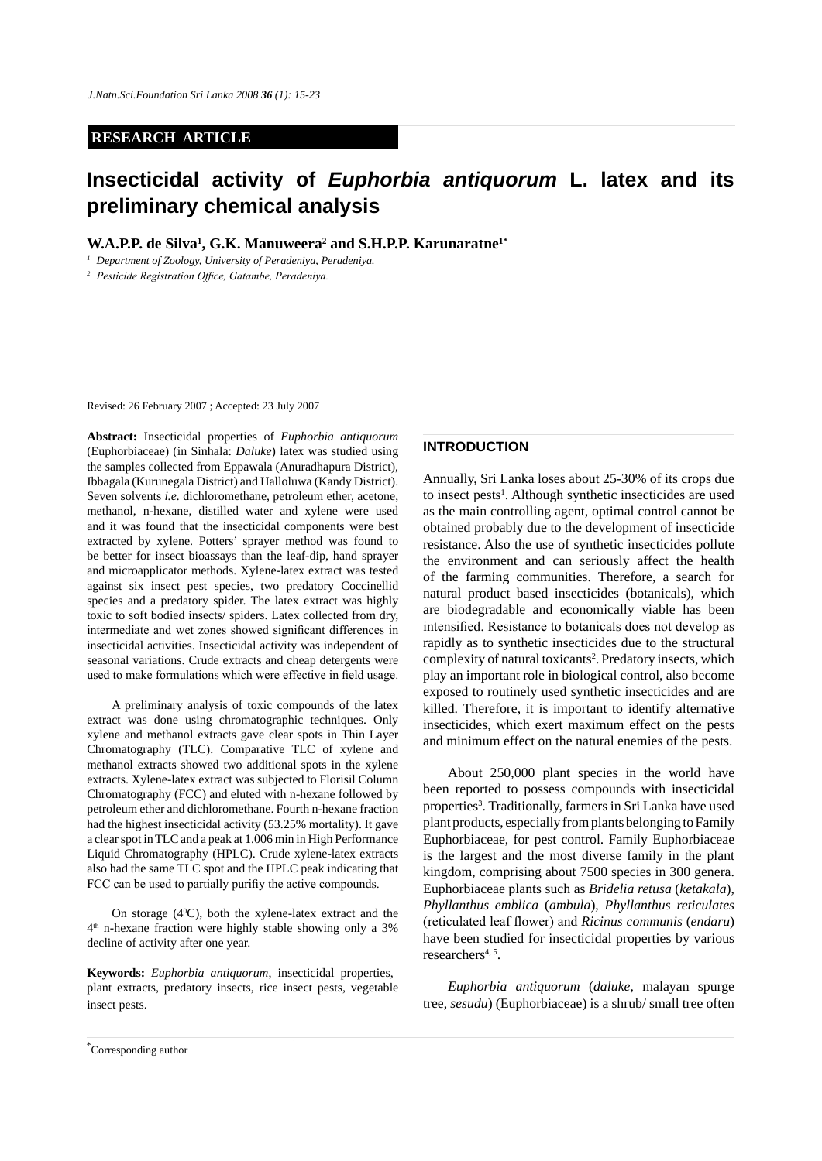## **RESEARCH ARTICLE**

# **Insecticidal activity of** *Euphorbia antiquorum* **L. latex and its preliminary chemical analysis**

**W.A.P.P. de Silva<sup>1</sup>, G.K. Manuweera<sup>2</sup> and S.H.P.P. Karunaratne<sup>1\*</sup>** 

*<sup>1</sup> Department of Zoology, University of Peradeniya, Peradeniya.*

*<sup>2</sup> Pesticide Registration Office, Gatambe, Peradeniya.*

Revised: 26 February 2007 ; Accepted: 23 July 2007

**Abstract:** Insecticidal properties of *Euphorbia antiquorum*  (Euphorbiaceae) (in Sinhala: *Daluke*) latex was studied using the samples collected from Eppawala (Anuradhapura District), Ibbagala (Kurunegala District) and Halloluwa (Kandy District). Seven solvents *i.e.* dichloromethane, petroleum ether, acetone, methanol, n-hexane, distilled water and xylene were used and it was found that the insecticidal components were best extracted by xylene. Potters' sprayer method was found to be better for insect bioassays than the leaf-dip, hand sprayer and microapplicator methods. Xylene-latex extract was tested against six insect pest species, two predatory Coccinellid species and a predatory spider. The latex extract was highly toxic to soft bodied insects/ spiders. Latex collected from dry, intermediate and wet zones showed significant differences in insecticidal activities. Insecticidal activity was independent of seasonal variations. Crude extracts and cheap detergents were used to make formulations which were effective in field usage.

A preliminary analysis of toxic compounds of the latex extract was done using chromatographic techniques. Only xylene and methanol extracts gave clear spots in Thin Layer Chromatography (TLC). Comparative TLC of xylene and methanol extracts showed two additional spots in the xylene extracts. Xylene-latex extract was subjected to Florisil Column Chromatography (FCC) and eluted with n-hexane followed by petroleum ether and dichloromethane. Fourth n-hexane fraction had the highest insecticidal activity (53.25% mortality). It gave a clear spot in TLC and a peak at 1.006 min in High Performance Liquid Chromatography (HPLC). Crude xylene-latex extracts also had the same TLC spot and the HPLC peak indicating that FCC can be used to partially purifiy the active compounds.

On storage  $(4^{\circ}C)$ , both the xylene-latex extract and the 4th n-hexane fraction were highly stable showing only a 3% decline of activity after one year.

**Keywords:** *Euphorbia antiquorum*, insecticidal properties, plant extracts, predatory insects, rice insect pests, vegetable insect pests.

# **INTRODUCTION**

Annually, Sri Lanka loses about 25-30% of its crops due to insect pests<sup>1</sup>. Although synthetic insecticides are used as the main controlling agent, optimal control cannot be obtained probably due to the development of insecticide resistance. Also the use of synthetic insecticides pollute the environment and can seriously affect the health of the farming communities. Therefore, a search for natural product based insecticides (botanicals), which are biodegradable and economically viable has been intensified. Resistance to botanicals does not develop as rapidly as to synthetic insecticides due to the structural complexity of natural toxicants<sup>2</sup>. Predatory insects, which play an important role in biological control, also become exposed to routinely used synthetic insecticides and are killed. Therefore, it is important to identify alternative insecticides, which exert maximum effect on the pests and minimum effect on the natural enemies of the pests.

About 250,000 plant species in the world have been reported to possess compounds with insecticidal properties<sup>3</sup>. Traditionally, farmers in Sri Lanka have used plant products, especially from plants belonging to Family Euphorbiaceae, for pest control. Family Euphorbiaceae is the largest and the most diverse family in the plant kingdom, comprising about 7500 species in 300 genera. Euphorbiaceae plants such as *Bridelia retusa* (*ketakala*), *Phyllanthus emblica* (*ambula*), *Phyllanthus reticulates*  (reticulated leaf flower) and *Ricinus communis* (*endaru*) have been studied for insecticidal properties by various researchers<sup>4, 5</sup>.

*Euphorbia antiquorum* (*daluke*, malayan spurge tree, *sesudu*) (Euphorbiaceae) is a shrub/ small tree often

*Journal of the National Science Foundation of Sri Lanka 36 (1) March 2008* \* Corresponding author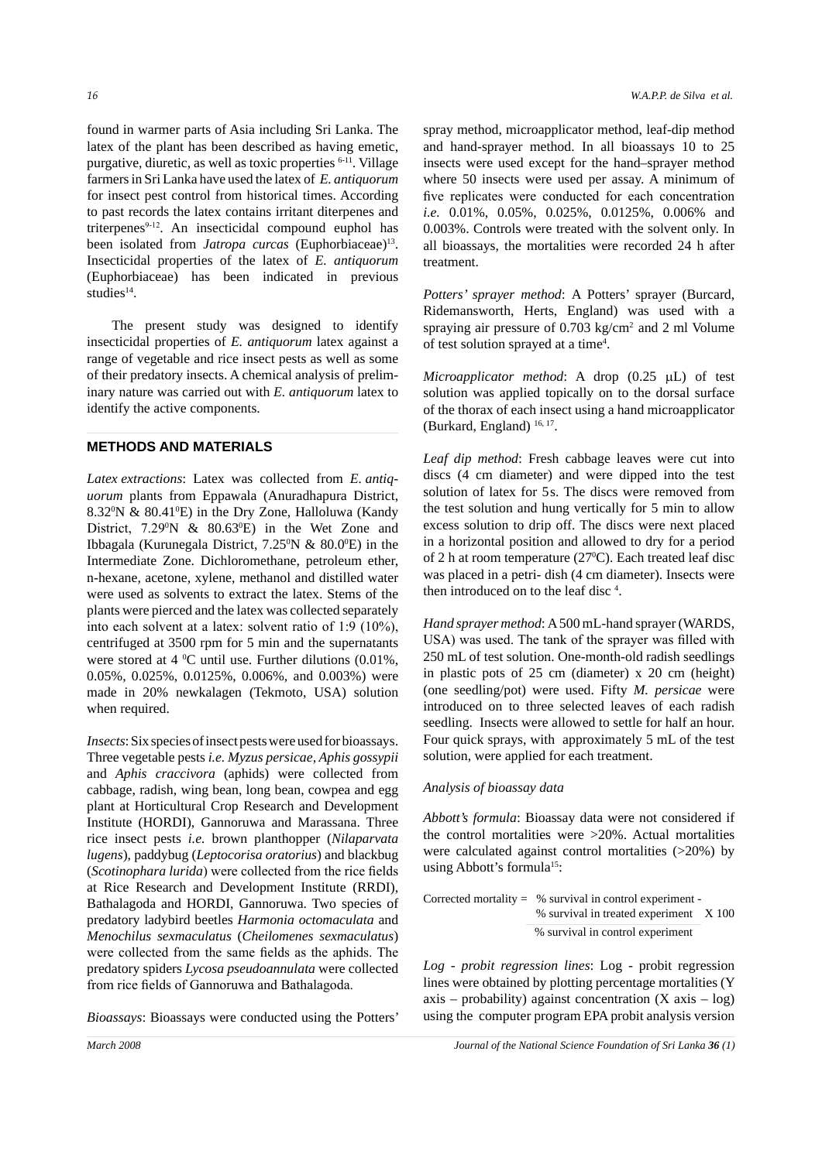found in warmer parts of Asia including Sri Lanka. The latex of the plant has been described as having emetic, purgative, diuretic, as well as toxic properties 6-11. Village farmers in Sri Lanka have used the latex of *E. antiquorum* for insect pest control from historical times. According to past records the latex contains irritant diterpenes and triterpenes<sup>9-12</sup>. An insecticidal compound euphol has been isolated from *Jatropa curcas* (Euphorbiaceae)<sup>13</sup>. Insecticidal properties of the latex of *E. antiquorum* (Euphorbiaceae) has been indicated in previous studies<sup>14</sup>.

The present study was designed to identify insecticidal properties of *E. antiquorum* latex against a range of vegetable and rice insect pests as well as some of their predatory insects. A chemical analysis of preliminary nature was carried out with *E. antiquorum* latex to identify the active components.

# **METHODS AND MATERIALS**

*Latex extractions*: Latex was collected from *E. antiquorum* plants from Eppawala (Anuradhapura District, 8.32<sup>o</sup>N & 80.41<sup>o</sup>E) in the Dry Zone, Halloluwa (Kandy District,  $7.29^{\circ}\text{N}$  &  $80.63^{\circ}\text{E}$  in the Wet Zone and Ibbagala (Kurunegala District,  $7.25^{\circ}$ N &  $80.0^{\circ}$ E) in the Intermediate Zone. Dichloromethane, petroleum ether, n-hexane, acetone, xylene, methanol and distilled water were used as solvents to extract the latex. Stems of the plants were pierced and the latex was collected separately into each solvent at a latex: solvent ratio of 1:9 (10%), centrifuged at 3500 rpm for 5 min and the supernatants were stored at  $4 \degree C$  until use. Further dilutions (0.01%, 0.05%, 0.025%, 0.0125%, 0.006%, and 0.003%) were made in 20% newkalagen (Tekmoto, USA) solution when required.

*Insects*: Six species of insect pests were used for bioassays. Three vegetable pests *i.e. Myzus persicae, Aphis gossypii*  and *Aphis craccivora* (aphids) were collected from cabbage, radish, wing bean, long bean, cowpea and egg plant at Horticultural Crop Research and Development Institute (HORDI), Gannoruwa and Marassana. Three rice insect pests *i.e.* brown planthopper (*Nilaparvata lugens*), paddybug (*Leptocorisa oratorius*) and blackbug (*Scotinophara lurida*) were collected from the rice fields at Rice Research and Development Institute (RRDI), Bathalagoda and HORDI, Gannoruwa. Two species of predatory ladybird beetles *Harmonia octomaculata* and *Menochilus sexmaculatus* (*Cheilomenes sexmaculatus*) were collected from the same fields as the aphids. The predatory spiders *Lycosa pseudoannulata* were collected from rice fields of Gannoruwa and Bathalagoda.

*Bioassays*: Bioassays were conducted using the Potters'

spray method, microapplicator method, leaf-dip method and hand-sprayer method. In all bioassays 10 to 25 insects were used except for the hand–sprayer method where 50 insects were used per assay. A minimum of five replicates were conducted for each concentration *i.e.* 0.01%, 0.05%, 0.025%, 0.0125%, 0.006% and 0.003%. Controls were treated with the solvent only. In all bioassays, the mortalities were recorded 24 h after treatment.

*Potters' sprayer method*: A Potters' sprayer (Burcard, Ridemansworth, Herts, England) was used with a spraying air pressure of  $0.703 \text{ kg/cm}^2$  and 2 ml Volume of test solution sprayed at a time4 .

*Microapplicator method*: A drop (0.25 µL) of test solution was applied topically on to the dorsal surface of the thorax of each insect using a hand microapplicator (Burkard, England)  $16, 17$ .

*Leaf dip method*: Fresh cabbage leaves were cut into discs (4 cm diameter) and were dipped into the test solution of latex for 5s. The discs were removed from the test solution and hung vertically for 5 min to allow excess solution to drip off. The discs were next placed in a horizontal position and allowed to dry for a period of 2 h at room temperature (27<sup>o</sup>C). Each treated leaf disc was placed in a petri- dish (4 cm diameter). Insects were then introduced on to the leaf disc 4 .

*Hand sprayer method*: A 500 mL-hand sprayer (WARDS, USA) was used. The tank of the sprayer was filled with 250 mL of test solution. One-month-old radish seedlings in plastic pots of 25 cm (diameter) x 20 cm (height) (one seedling/pot) were used. Fifty *M. persicae* were introduced on to three selected leaves of each radish seedling. Insects were allowed to settle for half an hour. Four quick sprays, with approximately 5 mL of the test solution, were applied for each treatment.

#### *Analysis of bioassay data*

*Abbott's formula*: Bioassay data were not considered if the control mortalities were >20%. Actual mortalities were calculated against control mortalities (>20%) by using Abbott's formula<sup>15</sup>:

Corrected mortality = % survival in control experiment - % survival in treated experiment X 100 % survival in control experiment

*Log - probit regression lines*: Log - probit regression lines were obtained by plotting percentage mortalities (Y axis – probability) against concentration  $(X \text{ axis} - \text{ log})$ using the computer program EPA probit analysis version

*March 2008 Journal of the National Science Foundation of Sri Lanka 36 (1)*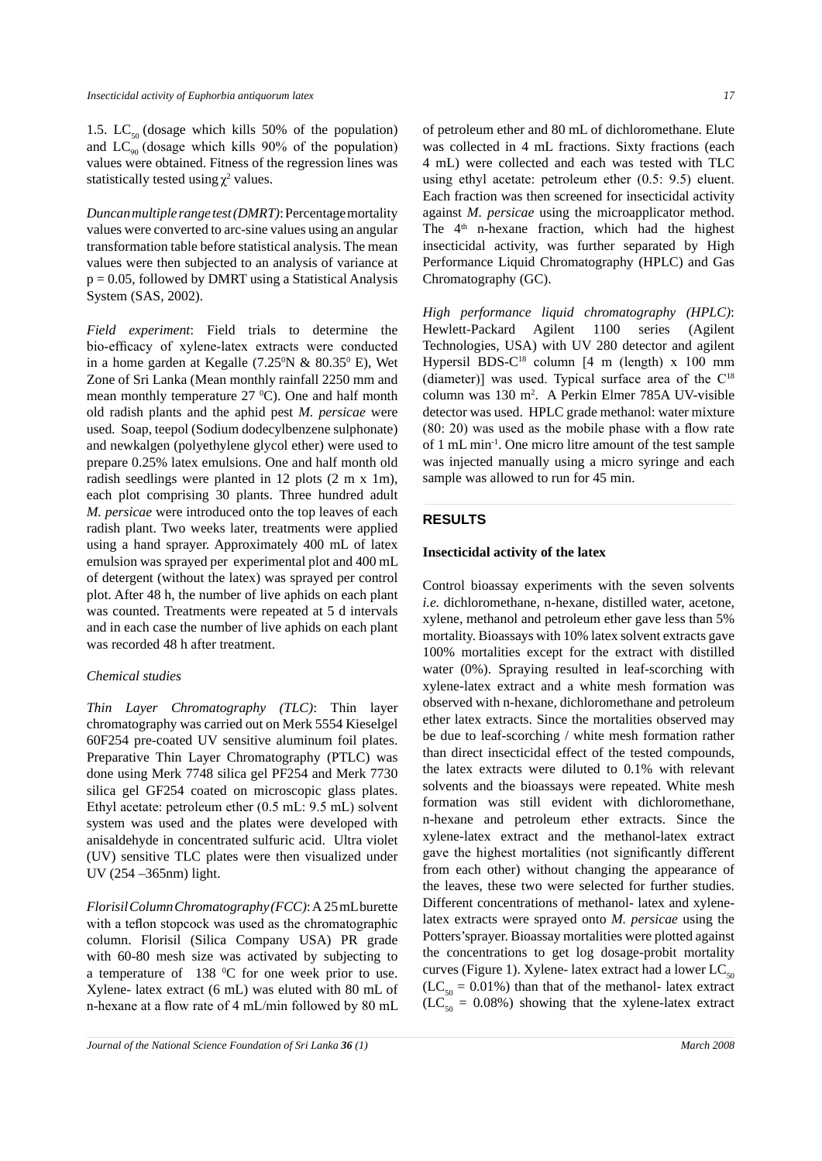1.5. LC<sub>50</sub> (dosage which kills 50% of the population) and  $LC_{90}$  (dosage which kills 90% of the population) values were obtained. Fitness of the regression lines was statistically tested using  $\chi^2$  values.

*Duncan multiple range test (DMRT)*: Percentage mortality values were converted to arc-sine values using an angular transformation table before statistical analysis. The mean values were then subjected to an analysis of variance at  $p = 0.05$ , followed by DMRT using a Statistical Analysis System (SAS, 2002).

*Field experiment*: Field trials to determine the bio-efficacy of xylene-latex extracts were conducted in a home garden at Kegalle  $(7.25^{\circ}N \& 80.35^{\circ} E)$ , Wet Zone of Sri Lanka (Mean monthly rainfall 2250 mm and mean monthly temperature  $27 \text{ °C}$ . One and half month old radish plants and the aphid pest *M. persicae* were used*.* Soap, teepol (Sodium dodecylbenzene sulphonate) and newkalgen (polyethylene glycol ether) were used to prepare 0.25% latex emulsions. One and half month old radish seedlings were planted in 12 plots (2 m x 1m), each plot comprising 30 plants. Three hundred adult *M. persicae* were introduced onto the top leaves of each radish plant. Two weeks later, treatments were applied using a hand sprayer. Approximately 400 mL of latex emulsion was sprayed per experimental plot and 400 mL of detergent (without the latex) was sprayed per control plot. After 48 h, the number of live aphids on each plant was counted. Treatments were repeated at 5 d intervals and in each case the number of live aphids on each plant was recorded 48 h after treatment.

#### *Chemical studies*

*Thin Layer Chromatography (TLC)*: Thin layer chromatography was carried out on Merk 5554 Kieselgel 60F254 pre-coated UV sensitive aluminum foil plates. Preparative Thin Layer Chromatography (PTLC) was done using Merk 7748 silica gel PF254 and Merk 7730 silica gel GF254 coated on microscopic glass plates. Ethyl acetate: petroleum ether (0.5 mL: 9.5 mL) solvent system was used and the plates were developed with anisaldehyde in concentrated sulfuric acid. Ultra violet (UV) sensitive TLC plates were then visualized under UV (254 –365nm) light.

*Florisil Column Chromatography (FCC)*:A 25 mL burette with a teflon stopcock was used as the chromatographic column. Florisil (Silica Company USA) PR grade with 60-80 mesh size was activated by subjecting to a temperature of  $138 \text{ °C}$  for one week prior to use. Xylene- latex extract (6 mL) was eluted with 80 mL of n-hexane at a flow rate of 4 mL/min followed by 80 mL

of petroleum ether and 80 mL of dichloromethane. Elute was collected in 4 mL fractions. Sixty fractions (each 4 mL) were collected and each was tested with TLC using ethyl acetate: petroleum ether (0.5: 9.5) eluent. Each fraction was then screened for insecticidal activity against *M. persicae* using the microapplicator method. The 4<sup>th</sup> n-hexane fraction, which had the highest insecticidal activity, was further separated by High Performance Liquid Chromatography (HPLC) and Gas Chromatography (GC).

*High performance liquid chromatography (HPLC)*: Hewlett-Packard Agilent 1100 series (Agilent Technologies, USA) with UV 280 detector and agilent Hypersil BDS- $C^{18}$  column [4 m (length) x 100 mm (diameter)] was used. Typical surface area of the  $C^{18}$ column was 130 m2 . A Perkin Elmer 785A UV-visible detector was used. HPLC grade methanol: water mixture (80: 20) was used as the mobile phase with a flow rate of 1 mL min-1. One micro litre amount of the test sample was injected manually using a micro syringe and each sample was allowed to run for 45 min.

## **RESULTS**

## **Insecticidal activity of the latex**

Control bioassay experiments with the seven solvents *i.e.* dichloromethane, n-hexane, distilled water, acetone, xylene, methanol and petroleum ether gave less than 5% mortality. Bioassays with 10% latex solvent extracts gave 100% mortalities except for the extract with distilled water (0%). Spraying resulted in leaf-scorching with xylene-latex extract and a white mesh formation was observed with n-hexane, dichloromethane and petroleum ether latex extracts. Since the mortalities observed may be due to leaf-scorching / white mesh formation rather than direct insecticidal effect of the tested compounds, the latex extracts were diluted to 0.1% with relevant solvents and the bioassays were repeated. White mesh formation was still evident with dichloromethane, n-hexane and petroleum ether extracts. Since the xylene-latex extract and the methanol-latex extract gave the highest mortalities (not significantly different from each other) without changing the appearance of the leaves, these two were selected for further studies. Different concentrations of methanol- latex and xylenelatex extracts were sprayed onto *M. persicae* using the Potters'sprayer. Bioassay mortalities were plotted against the concentrations to get log dosage-probit mortality curves (Figure 1). Xylene- latex extract had a lower  $LC_{50}$  $(LC_{50} = 0.01\%)$  than that of the methanol- latex extract  $(LC_{50} = 0.08\%)$  showing that the xylene-latex extract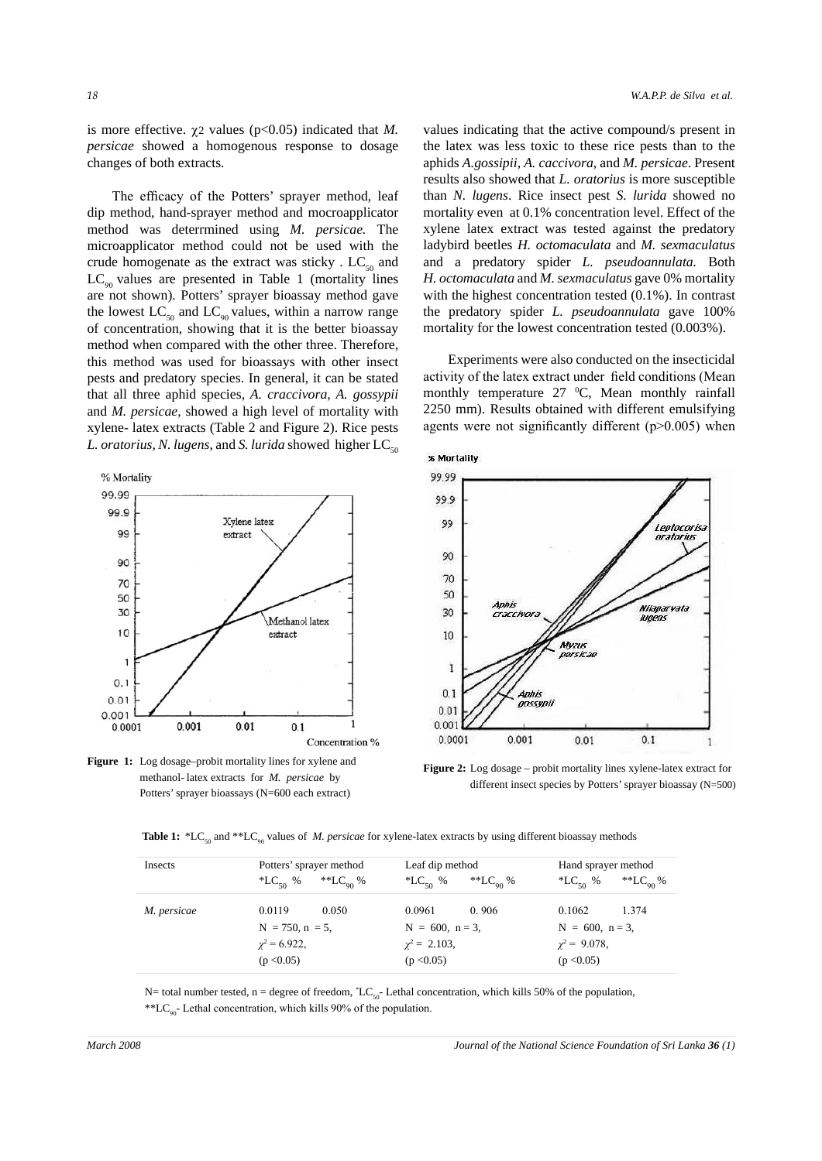is more effective.  $\chi$ 2 values (p<0.05) indicated that *M*. *persicae* showed a homogenous response to dosage changes of both extracts.

The efficacy of the Potters' sprayer method, leaf dip method, hand-sprayer method and mocroapplicator method was deterrmined using *M. persicae.* The microapplicator method could not be used with the crude homogenate as the extract was sticky.  $LC_{50}$  and  $LC_{\text{on}}$  values are presented in Table 1 (mortality lines are not shown). Potters' sprayer bioassay method gave the lowest  $LC_{50}$  and  $LC_{90}$  values, within a narrow range of concentration, showing that it is the better bioassay method when compared with the other three. Therefore, this method was used for bioassays with other insect pests and predatory species. In general, it can be stated that all three aphid species, *A. craccivora*, *A. gossypii*  and *M. persicae,* showed a high level of mortality with xylene- latex extracts (Table 2 and Figure 2). Rice pests *L. oratorius, N. lugens, and S. lurida showed higher LC<sub>50</sub>* 



**Figure 1:** Log dosage–probit mortality lines for xylene and methanol- latex extracts for *M. persicae* by Potters' sprayer bioassays (N=600 each extract)

values indicating that the active compound/s present in the latex was less toxic to these rice pests than to the aphids *A.gossipii*, *A. caccivora*, and *M. persicae*. Present results also showed that *L. oratorius* is more susceptible than *N. lugens*. Rice insect pest *S. lurida* showed no mortality even at 0.1% concentration level. Effect of the xylene latex extract was tested against the predatory ladybird beetles *H. octomaculata* and *M. sexmaculatus*  and a predatory spider *L. pseudoannulata.* Both *H. octomaculata* and *M. sexmaculatus* gave 0% mortality with the highest concentration tested (0.1%). In contrast the predatory spider *L. pseudoannulata* gave 100% mortality for the lowest concentration tested (0.003%).

Experiments were also conducted on the insecticidal activity of the latex extract under field conditions (Mean monthly temperature  $27 \text{ °C}$ , Mean monthly rainfall 2250 mm). Results obtained with different emulsifying agents were not significantly different (p>0.005) when



**Figure 2:** Log dosage – probit mortality lines xylene-latex extract for different insect species by Potters' sprayer bioassay (N=500)

|  |  |  |  |  | <b>Table 1:</b> *LC <sub>50</sub> and **LC <sub>90</sub> values of <i>M. persicae</i> for xylene-latex extracts by using different bioassay methods |  |  |  |  |  |  |  |
|--|--|--|--|--|-----------------------------------------------------------------------------------------------------------------------------------------------------|--|--|--|--|--|--|--|
|--|--|--|--|--|-----------------------------------------------------------------------------------------------------------------------------------------------------|--|--|--|--|--|--|--|

| Insects     | Potters' sprayer method                     | Leaf dip method                             | Hand sprayer method                         |  |  |
|-------------|---------------------------------------------|---------------------------------------------|---------------------------------------------|--|--|
|             | **LC <sub>00</sub> %<br>*LC <sub>50</sub> % | **LC <sub>00</sub> %<br>*LC <sub>50</sub> % | **LC <sub>00</sub> %<br>*LC <sub>50</sub> % |  |  |
| M. persicae | 0.050<br>0.0119                             | 0.0961<br>0.906                             | 1.374<br>0.1062                             |  |  |
|             | $N = 750$ , $n = 5$ ,                       | $N = 600$ , $n = 3$ ,                       | $N = 600$ , $n = 3$ ,                       |  |  |
|             | $\chi^2$ = 6.922,                           | $\chi^2 = 2.103$ ,                          | $\chi^2$ = 9.078,                           |  |  |
|             | (p < 0.05)                                  | (p < 0.05)                                  | (p < 0.05)                                  |  |  |

N= total number tested,  $n =$  degree of freedom,  $^{\circ}LC_{50}$ - Lethal concentration, which kills 50% of the population, \*\*L $C_{90}$ - Lethal concentration, which kills 90% of the population.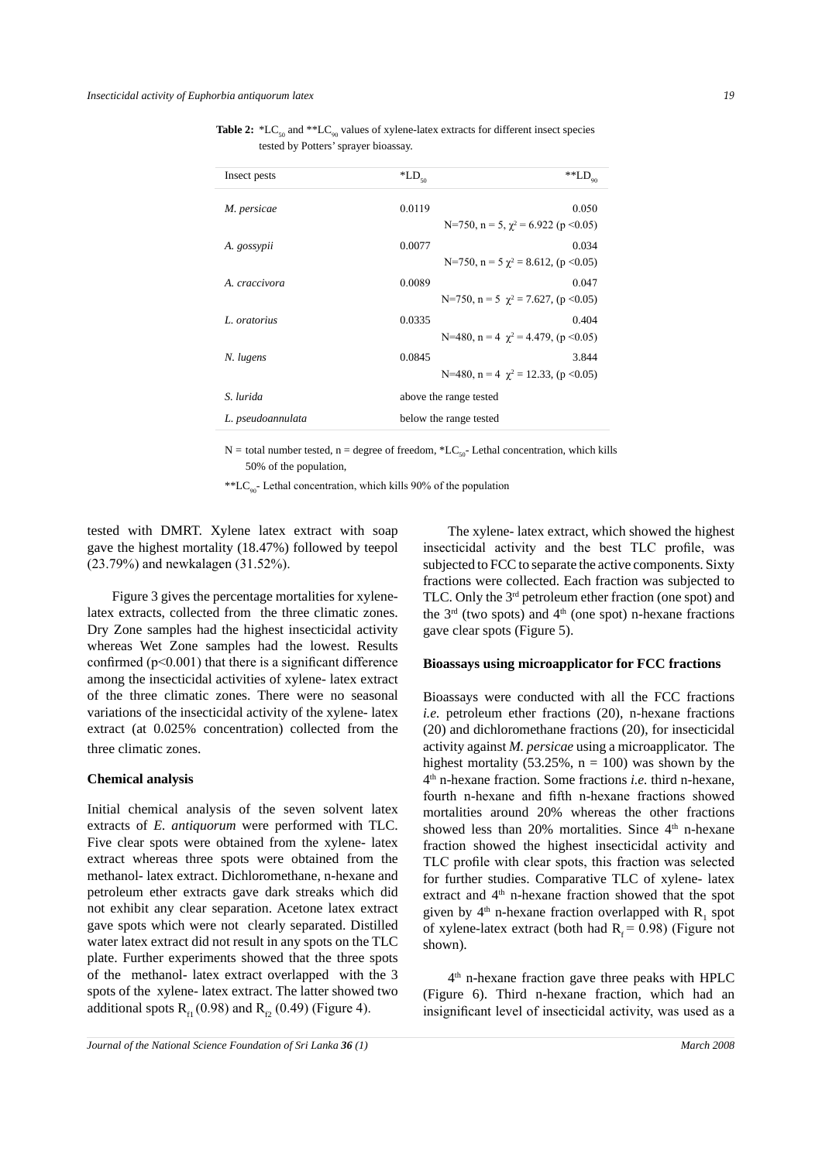Table 2: \*LC<sub>50</sub> and \*\*LC<sub>90</sub> values of xylene-latex extracts for different insect species tested by Potters' sprayer bioassay.

| Insect pests      | $\rm ^*LD_{\rm 50}$                                   | $\mathrm{^{**}LD}_{\mathrm{90}}$ |  |  |
|-------------------|-------------------------------------------------------|----------------------------------|--|--|
| M. persicae       | 0.0119<br>N=750, n = 5, $\gamma^2$ = 6.922 (p < 0.05) | 0.050                            |  |  |
| A. gossypii       | 0.0077<br>N=750, n = 5 $\gamma^2$ = 8.612, (p < 0.05) | 0.034                            |  |  |
| A. craccivora     | 0.0089<br>N=750, n = 5 $\gamma^2$ = 7.627, (p < 0.05) | 0.047                            |  |  |
| L. oratorius      | 0.0335<br>N=480, n = 4 $\gamma^2$ = 4.479, (p < 0.05) | 0.404                            |  |  |
| N. lugens         | 0.0845<br>N=480, n = 4 $\gamma^2$ = 12.33, (p < 0.05) | 3.844                            |  |  |
| S. lurida         | above the range tested                                |                                  |  |  |
| L. pseudoannulata | below the range tested                                |                                  |  |  |

N = total number tested, n = degree of freedom,  $*LC_{50}$ - Lethal concentration, which kills 50% of the population,

\*\*LC<sub>90</sub>- Lethal concentration, which kills 90% of the population

tested with DMRT. Xylene latex extract with soap gave the highest mortality (18.47%) followed by teepol (23.79%) and newkalagen (31.52%).

Figure 3 gives the percentage mortalities for xylenelatex extracts, collected from the three climatic zones. Dry Zone samples had the highest insecticidal activity whereas Wet Zone samples had the lowest. Results confirmed  $(p<0.001)$  that there is a significant difference among the insecticidal activities of xylene- latex extract of the three climatic zones. There were no seasonal variations of the insecticidal activity of the xylene- latex extract (at 0.025% concentration) collected from the three climatic zones.

#### **Chemical analysis**

Initial chemical analysis of the seven solvent latex extracts of *E. antiquorum* were performed with TLC. Five clear spots were obtained from the xylene- latex extract whereas three spots were obtained from the methanol- latex extract. Dichloromethane, n-hexane and petroleum ether extracts gave dark streaks which did not exhibit any clear separation. Acetone latex extract gave spots which were not clearly separated. Distilled water latex extract did not result in any spots on the TLC plate. Further experiments showed that the three spots of the methanol- latex extract overlapped with the 3 spots of the xylene- latex extract. The latter showed two additional spots  $R_{\text{eq}} (0.98)$  and  $R_{\text{eq}} (0.49)$  (Figure 4).

The xylene- latex extract, which showed the highest insecticidal activity and the best TLC profile, was subjected to FCC to separate the active components. Sixty fractions were collected. Each fraction was subjected to TLC. Only the 3rd petroleum ether fraction (one spot) and the  $3<sup>rd</sup>$  (two spots) and  $4<sup>th</sup>$  (one spot) n-hexane fractions gave clear spots (Figure 5).

### **Bioassays using microapplicator for FCC fractions**

Bioassays were conducted with all the FCC fractions *i.e.* petroleum ether fractions (20), n-hexane fractions (20) and dichloromethane fractions (20), for insecticidal activity against *M. persicae* using a microapplicator. The highest mortality (53.25%,  $n = 100$ ) was shown by the 4th n-hexane fraction. Some fractions *i.e.* third n-hexane, fourth n-hexane and fifth n-hexane fractions showed mortalities around 20% whereas the other fractions showed less than 20% mortalities. Since  $4<sup>th</sup>$  n-hexane fraction showed the highest insecticidal activity and TLC profile with clear spots, this fraction was selected for further studies. Comparative TLC of xylene- latex extract and 4<sup>th</sup> n-hexane fraction showed that the spot given by  $4<sup>th</sup>$  n-hexane fraction overlapped with  $R_1$  spot of xylene-latex extract (both had  $R_f = 0.98$ ) (Figure not shown).

4th n-hexane fraction gave three peaks with HPLC (Figure 6). Third n-hexane fraction, which had an insignificant level of insecticidal activity, was used as a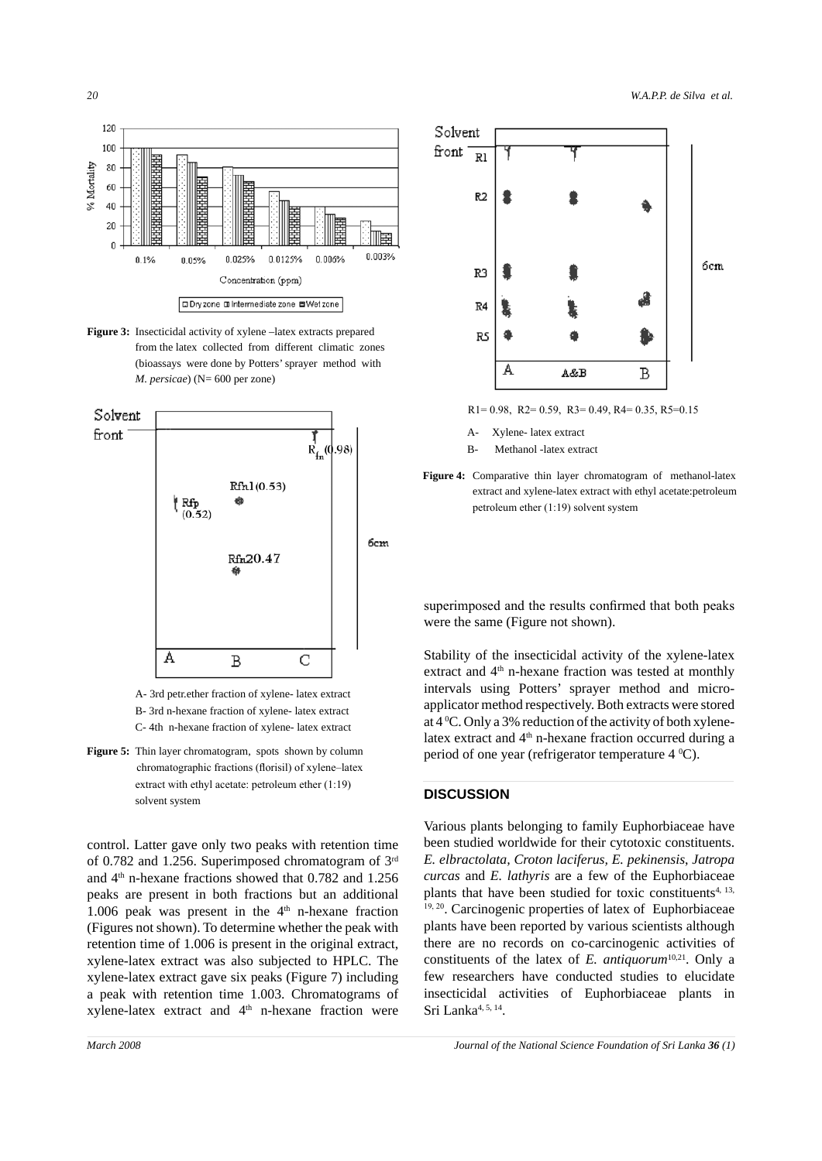

**Figure 3:** Insecticidal activity of xylene –latex extracts prepared from the latex collected from different climatic zones (bioassays were done by Potters' sprayer method with *M. persicae*) (N= 600 per zone)



A- 3rd petr.ether fraction of xylene- latex extract

- B- 3rd n-hexane fraction of xylene- latex extract C- 4th n-hexane fraction of xylene- latex extract
- **Figure 5:** Thin layer chromatogram, spots shown by column chromatographic fractions (florisil) of xylene–latex extract with ethyl acetate: petroleum ether (1:19) solvent system

control. Latter gave only two peaks with retention time of 0.782 and 1.256. Superimposed chromatogram of 3rd and 4th n-hexane fractions showed that 0.782 and 1.256 peaks are present in both fractions but an additional 1.006 peak was present in the  $4<sup>th</sup>$  n-hexane fraction (Figures not shown). To determine whether the peak with retention time of 1.006 is present in the original extract, xylene-latex extract was also subjected to HPLC. The xylene-latex extract gave six peaks (Figure 7) including a peak with retention time 1.003. Chromatograms of xylene-latex extract and  $4<sup>th</sup>$  n-hexane fraction were



R1= 0.98, R2= 0.59, R3= 0.49, R4= 0.35, R5=0.15

- A- Xylene- latex extract
- B- Methanol -latex extract

**Figure 4:** Comparative thin layer chromatogram of methanol-latex extract and xylene-latex extract with ethyl acetate:petroleum petroleum ether (1:19) solvent system

superimposed and the results confirmed that both peaks were the same (Figure not shown).

Stability of the insecticidal activity of the xylene-latex extract and 4<sup>th</sup> n-hexane fraction was tested at monthly intervals using Potters' sprayer method and microapplicator method respectively. Both extracts were stored at  $4^{\circ}$ C. Only a 3% reduction of the activity of both xylenelatex extract and 4<sup>th</sup> n-hexane fraction occurred during a period of one year (refrigerator temperature  $4^{\circ}$ C).

# **DISCUSSION**

Various plants belonging to family Euphorbiaceae have been studied worldwide for their cytotoxic constituents. *E. elbractolata, Croton laciferus, E. pekinensis*, *Jatropa curcas* and *E. lathyris* are a few of the Euphorbiaceae plants that have been studied for toxic constituents<sup>4, 13,</sup> 19, 20. Carcinogenic properties of latex of Euphorbiaceae plants have been reported by various scientists although there are no records on co-carcinogenic activities of constituents of the latex of *E. antiquorum*<sup>10,21</sup>. Only a few researchers have conducted studies to elucidate insecticidal activities of Euphorbiaceae plants in Sri Lanka<sup>4, 5, 14</sup>.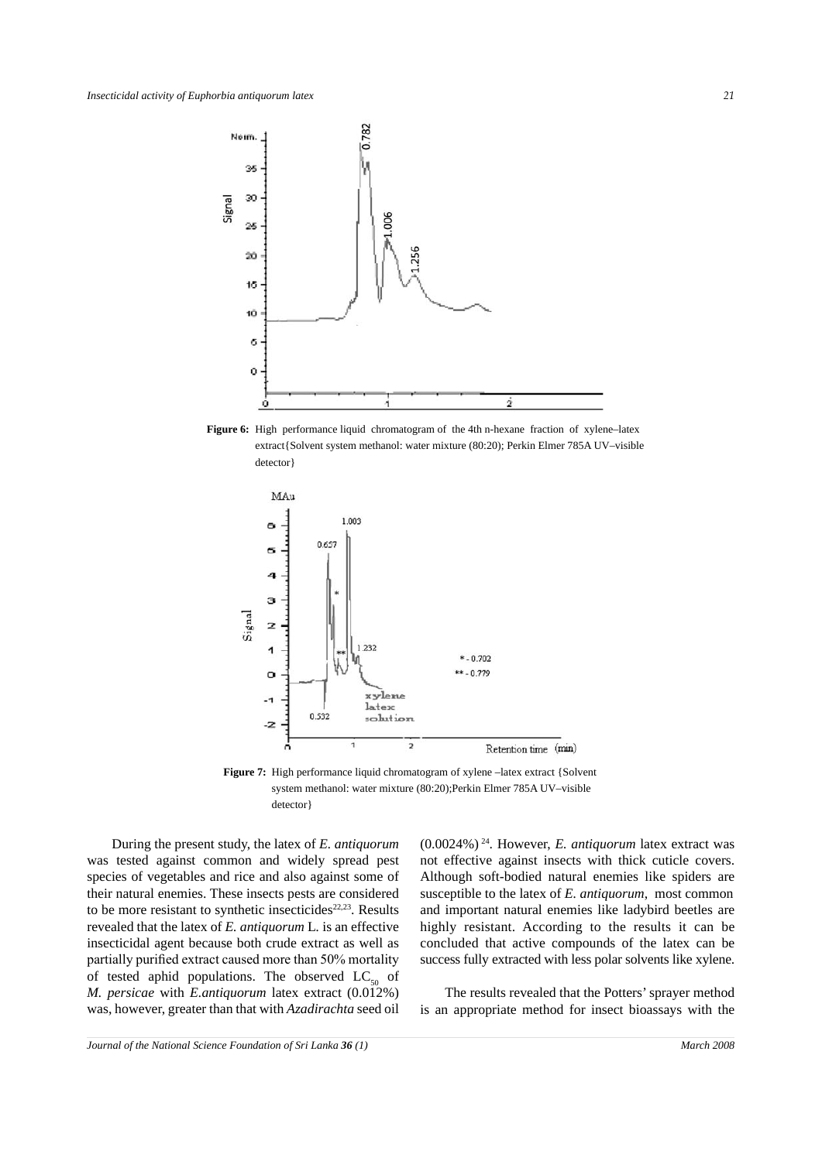

Figure 6: High performance liquid chromatogram of the 4th n-hexane fraction of xylene-latex extract{Solvent system methanol: water mixture (80:20); Perkin Elmer 785A UV–visible detector}



Figure 7: High performance liquid chromatogram of xylene –latex extract {Solvent system methanol: water mixture (80:20);Perkin Elmer 785A UV–visible detector}

During the present study, the latex of *E. antiquorum* was tested against common and widely spread pest species of vegetables and rice and also against some of their natural enemies. These insects pests are considered to be more resistant to synthetic insecticides $22,23$ . Results revealed that the latex of *E. antiquorum* L*.* is an effective insecticidal agent because both crude extract as well as partially purified extract caused more than 50% mortality of tested aphid populations. The observed  $LC_{50}$  of *M. persicae* with *E.antiquorum* latex extract (0.012%) was, however, greater than that with *Azadirachta* seed oil (0.0024%) 24. However, *E. antiquorum* latex extract was not effective against insects with thick cuticle covers. Although soft-bodied natural enemies like spiders are susceptible to the latex of *E. antiquorum*, most common and important natural enemies like ladybird beetles are highly resistant. According to the results it can be concluded that active compounds of the latex can be success fully extracted with less polar solvents like xylene.

The results revealed that the Potters' sprayer method is an appropriate method for insect bioassays with the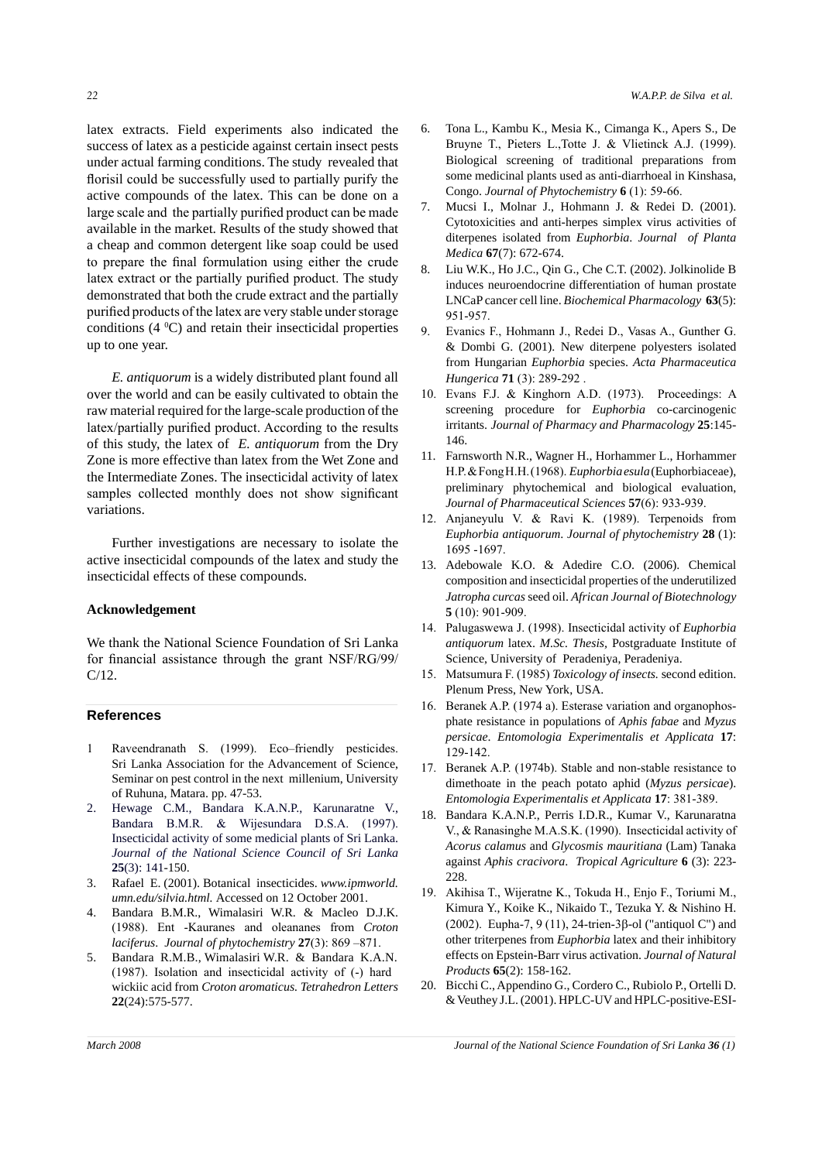latex extracts. Field experiments also indicated the success of latex as a pesticide against certain insect pests under actual farming conditions. The study revealed that florisil could be successfully used to partially purify the active compounds of the latex. This can be done on a large scale and the partially purified product can be made available in the market. Results of the study showed that a cheap and common detergent like soap could be used to prepare the final formulation using either the crude latex extract or the partially purified product. The study demonstrated that both the crude extract and the partially purified products of the latex are very stable under storage conditions  $(4 \, {}^0C)$  and retain their insecticidal properties up to one year.

*E. antiquorum* is a widely distributed plant found all over the world and can be easily cultivated to obtain the raw material required for the large-scale production of the latex/partially purified product. According to the results of this study, the latex of *E. antiquorum* from the Dry Zone is more effective than latex from the Wet Zone and the Intermediate Zones. The insecticidal activity of latex samples collected monthly does not show significant variations.

Further investigations are necessary to isolate the active insecticidal compounds of the latex and study the insecticidal effects of these compounds.

## **Acknowledgement**

We thank the National Science Foundation of Sri Lanka for financial assistance through the grant NSF/RG/99/ C/12.

## **References**

- 1 Raveendranath S. (1999). Eco–friendly pesticides. Sri Lanka Association for the Advancement of Science, Seminar on pest control in the next millenium, University of Ruhuna, Matara. pp. 47-53.
- 2. Hewage C.M., Bandara K.A.N.P., Karunaratne V., Bandara B.M.R. & Wijesundara D.S.A. (1997). Insecticidal activity of some medicial plants of Sri Lanka. *Journal of the National Science Council of Sri Lanka*  **25**(3): 141-150.
- 3. Rafael E. (2001). Botanical insecticides. *www.ipmworld. umn.edu/silvia.html.* Accessed on 12 October 2001.
- 4. Bandara B.M.R., Wimalasiri W.R. & Macleo D.J.K. (1988). Ent -Kauranes and oleananes from *Croton laciferus*. *Journal of phytochemistry* **27**(3): 869 –871.
- 5. Bandara R.M.B., Wimalasiri W.R. & Bandara K.A.N. (1987). Isolation and insecticidal activity of (-) hard wickiic acid from *Croton aromaticus. Tetrahedron Letters* **22**(24):575-577.
- 6. Tona L., Kambu K., Mesia K., Cimanga K., Apers S., De Bruyne T., Pieters L.,Totte J. & Vlietinck A.J. (1999). Biological screening of traditional preparations from some medicinal plants used as anti-diarrhoeal in Kinshasa, Congo. *Journal of Phytochemistry* **6** (1): 59-66.
- 7. Mucsi I., Molnar J., Hohmann J. & Redei D. (2001). Cytotoxicities and anti-herpes simplex virus activities of diterpenes isolated from *Euphorbia*. *Journal of Planta Medica* **67**(7): 672-674.
- 8. Liu W.K., Ho J.C., Qin G., Che C.T. (2002). Jolkinolide B induces neuroendocrine differentiation of human prostate LNCaP cancer cell line. *Biochemical Pharmacology* **63**(5): 951-957.
- 9. Evanics F., Hohmann J., Redei D., Vasas A., Gunther G. & Dombi G. (2001). New diterpene polyesters isolated from Hungarian *Euphorbia* species. *Acta Pharmaceutica Hungerica* **71** (3): 289-292 .
- 10. Evans F.J. & Kinghorn A.D. (1973). Proceedings: A screening procedure for *Euphorbia* co-carcinogenic irritants. *Journal of Pharmacy and Pharmacology* **25**:145- 146.
- 11. Farnsworth N.R., Wagner H., Horhammer L., Horhammer H.P. & Fong H.H. (1968). *Euphorbia esula* (Euphorbiaceae), preliminary phytochemical and biological evaluation, *Journal of Pharmaceutical Sciences* **57**(6): 933-939.
- 12. Anjaneyulu V. & Ravi K. (1989). Terpenoids from *Euphorbia antiquorum*. *Journal of phytochemistry* **28** (1): 1695 -1697.
- 13. Adebowale K.O. & Adedire C.O. (2006). Chemical composition and insecticidal properties of the underutilized *Jatropha curcas* seed oil. *African Journal of Biotechnology*  **5** (10): 901-909.
- 14. Palugaswewa J. (1998). Insecticidal activity of *Euphorbia antiquorum* latex. *M.Sc. Thesis,* Postgraduate Institute of Science, University of Peradeniya, Peradeniya.
- 15. Matsumura F. (1985) *Toxicology of insects.* second edition. Plenum Press, New York, USA.
- 16. Beranek A.P. (1974 a). Esterase variation and organophosphate resistance in populations of *Aphis fabae* and *Myzus persicae*. *Entomologia Experimentalis et Applicata* **17**: 129-142.
- 17. Beranek A.P. (1974b). Stable and non-stable resistance to dimethoate in the peach potato aphid (*Myzus persicae*). *Entomologia Experimentalis et Applicata* **17**: 381-389.
- 18. Bandara K.A.N.P., Perris I.D.R., Kumar V., Karunaratna V., & Ranasinghe M.A.S.K. (1990). Insecticidal activity of *Acorus calamus* and *Glycosmis mauritiana* (Lam) Tanaka against *Aphis cracivora*. *Tropical Agriculture* **6** (3): 223- 228.
- 19. Akihisa T., Wijeratne K., Tokuda H., Enjo F., Toriumi M., Kimura Y., Koike K., Nikaido T., Tezuka Y. & Nishino H. (2002). Eupha-7, 9 (11), 24-trien-3β-ol ("antiquol C") and other triterpenes from *Euphorbia* latex and their inhibitory effects on Epstein-Barr virus activation. *Journal of Natural Products* **65**(2): 158-162.
- 20. Bicchi C., Appendino G., Cordero C., Rubiolo P., Ortelli D. & Veuthey J.L. (2001). HPLC-UV and HPLC-positive-ESI-